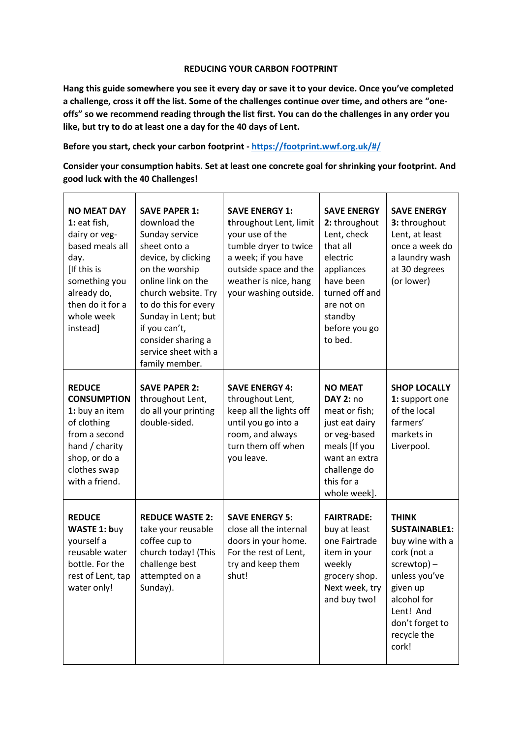## **REDUCING YOUR CARBON FOOTPRINT**

**Hang this guide somewhere you see it every day or save it to your device. Once you've completed a challenge, cross it off the list. Some of the challenges continue over time, and others are "oneoffs" so we recommend reading through the list first. You can do the challenges in any order you like, but try to do at least one a day for the 40 days of Lent.**

**Before you start, check your carbon footprint - <https://footprint.wwf.org.uk/#/>**

**Consider your consumption habits. Set at least one concrete goal for shrinking your footprint. And good luck with the 40 Challenges!**

| <b>NO MEAT DAY</b><br>1: eat fish,<br>dairy or veg-<br>based meals all<br>day.<br>[If this is<br>something you<br>already do,<br>then do it for a<br>whole week<br>instead] | <b>SAVE PAPER 1:</b><br>download the<br>Sunday service<br>sheet onto a<br>device, by clicking<br>on the worship<br>online link on the<br>church website. Try<br>to do this for every<br>Sunday in Lent; but<br>if you can't,<br>consider sharing a<br>service sheet with a<br>family member. | <b>SAVE ENERGY 1:</b><br>throughout Lent, limit<br>your use of the<br>tumble dryer to twice<br>a week; if you have<br>outside space and the<br>weather is nice, hang<br>your washing outside. | <b>SAVE ENERGY</b><br>2: throughout<br>Lent, check<br>that all<br>electric<br>appliances<br>have been<br>turned off and<br>are not on<br>standby<br>before you go<br>to bed. | <b>SAVE ENERGY</b><br>3: throughout<br>Lent, at least<br>once a week do<br>a laundry wash<br>at 30 degrees<br>(or lower)                                                                     |
|-----------------------------------------------------------------------------------------------------------------------------------------------------------------------------|----------------------------------------------------------------------------------------------------------------------------------------------------------------------------------------------------------------------------------------------------------------------------------------------|-----------------------------------------------------------------------------------------------------------------------------------------------------------------------------------------------|------------------------------------------------------------------------------------------------------------------------------------------------------------------------------|----------------------------------------------------------------------------------------------------------------------------------------------------------------------------------------------|
| <b>REDUCE</b><br><b>CONSUMPTION</b><br>1: buy an item<br>of clothing<br>from a second<br>hand / charity<br>shop, or do a<br>clothes swap<br>with a friend.                  | <b>SAVE PAPER 2:</b><br>throughout Lent,<br>do all your printing<br>double-sided.                                                                                                                                                                                                            | <b>SAVE ENERGY 4:</b><br>throughout Lent,<br>keep all the lights off<br>until you go into a<br>room, and always<br>turn them off when<br>you leave.                                           | <b>NO MEAT</b><br><b>DAY 2: no</b><br>meat or fish;<br>just eat dairy<br>or veg-based<br>meals [If you<br>want an extra<br>challenge do<br>this for a<br>whole week].        | <b>SHOP LOCALLY</b><br>1: support one<br>of the local<br>farmers'<br>markets in<br>Liverpool.                                                                                                |
| <b>REDUCE</b><br><b>WASTE 1: buy</b><br>yourself a<br>reusable water<br>bottle. For the<br>rest of Lent, tap<br>water only!                                                 | <b>REDUCE WASTE 2:</b><br>take your reusable<br>coffee cup to<br>church today! (This<br>challenge best<br>attempted on a<br>Sunday).                                                                                                                                                         | <b>SAVE ENERGY 5:</b><br>close all the internal<br>doors in your home.<br>For the rest of Lent,<br>try and keep them<br>shut!                                                                 | <b>FAIRTRADE:</b><br>buy at least<br>one Fairtrade<br>item in your<br>weekly<br>grocery shop.<br>Next week, try<br>and buy two!                                              | <b>THINK</b><br><b>SUSTAINABLE1:</b><br>buy wine with a<br>cork (not a<br>$screwtop$ ) –<br>unless you've<br>given up<br>alcohol for<br>Lent! And<br>don't forget to<br>recycle the<br>cork! |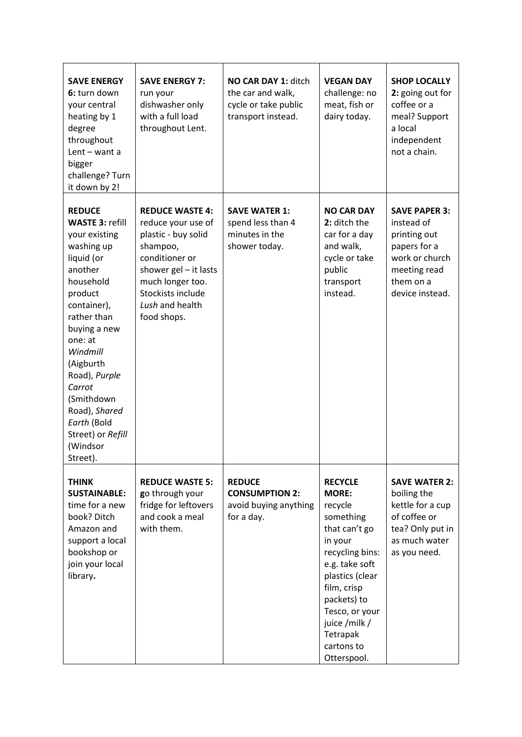| <b>SAVE ENERGY</b><br>6: turn down<br>your central<br>heating by 1<br>degree<br>throughout<br>Lent - want a<br>bigger<br>challenge? Turn<br>it down by 2!                                                                                                                                                                       | <b>SAVE ENERGY 7:</b><br>run your<br>dishwasher only<br>with a full load<br>throughout Lent.                                                                                                            | NO CAR DAY 1: ditch<br>the car and walk,<br>cycle or take public<br>transport instead. | <b>VEGAN DAY</b><br>challenge: no<br>meat, fish or<br>dairy today.                                                                                                                                                                                   | <b>SHOP LOCALLY</b><br>2: going out for<br>coffee or a<br>meal? Support<br>a local<br>independent<br>not a chain.                    |
|---------------------------------------------------------------------------------------------------------------------------------------------------------------------------------------------------------------------------------------------------------------------------------------------------------------------------------|---------------------------------------------------------------------------------------------------------------------------------------------------------------------------------------------------------|----------------------------------------------------------------------------------------|------------------------------------------------------------------------------------------------------------------------------------------------------------------------------------------------------------------------------------------------------|--------------------------------------------------------------------------------------------------------------------------------------|
| <b>REDUCE</b><br><b>WASTE 3: refill</b><br>your existing<br>washing up<br>liquid (or<br>another<br>household<br>product<br>container),<br>rather than<br>buying a new<br>one: at<br>Windmill<br>(Aigburth<br>Road), Purple<br>Carrot<br>(Smithdown<br>Road), Shared<br>Earth (Bold<br>Street) or Refill<br>(Windsor<br>Street). | <b>REDUCE WASTE 4:</b><br>reduce your use of<br>plastic - buy solid<br>shampoo,<br>conditioner or<br>shower $gel - it$ lasts<br>much longer too.<br>Stockists include<br>Lush and health<br>food shops. | <b>SAVE WATER 1:</b><br>spend less than 4<br>minutes in the<br>shower today.           | <b>NO CAR DAY</b><br>2: ditch the<br>car for a day<br>and walk,<br>cycle or take<br>public<br>transport<br>instead.                                                                                                                                  | <b>SAVE PAPER 3:</b><br>instead of<br>printing out<br>papers for a<br>work or church<br>meeting read<br>them on a<br>device instead. |
| <b>THINK</b><br><b>SUSTAINABLE:</b><br>time for a new<br>book? Ditch<br>Amazon and<br>support a local<br>bookshop or<br>join your local<br>library.                                                                                                                                                                             | <b>REDUCE WASTE 5:</b><br>go through your<br>fridge for leftovers<br>and cook a meal<br>with them.                                                                                                      | <b>REDUCE</b><br><b>CONSUMPTION 2:</b><br>avoid buying anything<br>for a day.          | <b>RECYCLE</b><br><b>MORE:</b><br>recycle<br>something<br>that can't go<br>in your<br>recycling bins:<br>e.g. take soft<br>plastics (clear<br>film, crisp<br>packets) to<br>Tesco, or your<br>juice /milk /<br>Tetrapak<br>cartons to<br>Otterspool. | <b>SAVE WATER 2:</b><br>boiling the<br>kettle for a cup<br>of coffee or<br>tea? Only put in<br>as much water<br>as you need.         |